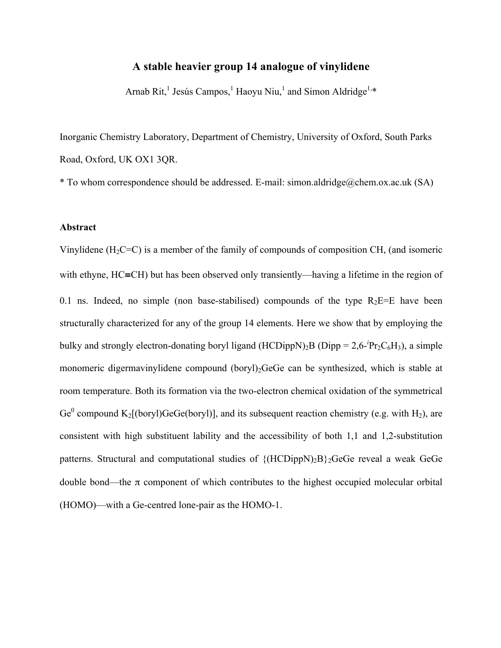#### **A stable heavier group 14 analogue of vinylidene**

Arnab Rit,<sup>1</sup> Jesús Campos,<sup>1</sup> Haoyu Niu,<sup>1</sup> and Simon Aldridge<sup>1,\*</sup>

Inorganic Chemistry Laboratory, Department of Chemistry, University of Oxford, South Parks Road, Oxford, UK OX1 3QR.

\* To whom correspondence should be addressed. E-mail: simon.aldridge@chem.ox.ac.uk (SA)

#### **Abstract**

Vinylidene  $(H_2C=C)$  is a member of the family of compounds of composition CH, (and isomeric with ethyne, HC≡CH) but has been observed only transiently—having a lifetime in the region of 0.1 ns. Indeed, no simple (non base-stabilised) compounds of the type  $R_2E=E$  have been structurally characterized for any of the group 14 elements. Here we show that by employing the bulky and strongly electron-donating boryl ligand  $(HCDippN)_2B$   $(Dipp = 2.6$ -<sup>*i*</sup>Pr<sub>2</sub>C<sub>6</sub>H<sub>3</sub>), a simple monomeric digermavinylidene compound (boryl)<sub>2</sub>GeGe can be synthesized, which is stable at room temperature. Both its formation via the two-electron chemical oxidation of the symmetrical Ge<sup>0</sup> compound K<sub>2</sub>[(boryl)GeGe(boryl)], and its subsequent reaction chemistry (e.g. with H<sub>2</sub>), are consistent with high substituent lability and the accessibility of both 1,1 and 1,2-substitution patterns. Structural and computational studies of  $\{(\text{HCDippN})_2B\}_2$ GeGe reveal a weak GeGe double bond—the π component of which contributes to the highest occupied molecular orbital (HOMO)—with a Ge-centred lone-pair as the HOMO-1.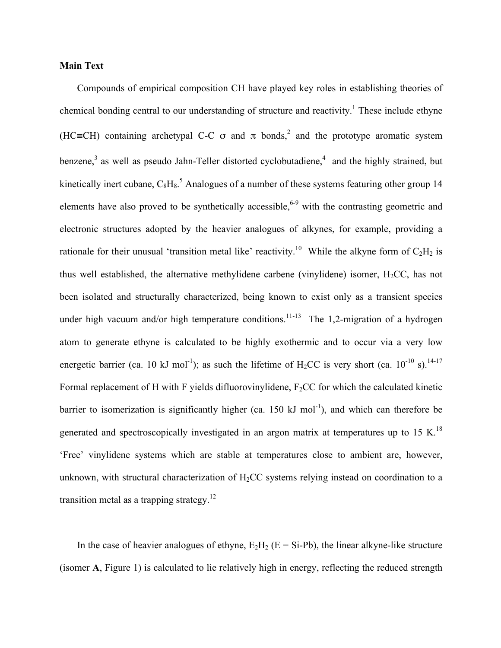#### **Main Text**

 Compounds of empirical composition CH have played key roles in establishing theories of chemical bonding central to our understanding of structure and reactivity.<sup>1</sup> These include ethyne (HC≡CH) containing archetypal C-C  $\sigma$  and  $\pi$  bonds,<sup>2</sup> and the prototype aromatic system benzene,<sup>3</sup> as well as pseudo Jahn-Teller distorted cyclobutadiene,<sup>4</sup> and the highly strained, but kinetically inert cubane,  $C_8H_8$ <sup>5</sup> Analogues of a number of these systems featuring other group 14 elements have also proved to be synthetically accessible,<sup>6-9</sup> with the contrasting geometric and electronic structures adopted by the heavier analogues of alkynes, for example, providing a rationale for their unusual 'transition metal like' reactivity.<sup>10</sup> While the alkyne form of  $C_2H_2$  is thus well established, the alternative methylidene carbene (vinylidene) isomer,  $H<sub>2</sub>CC$ , has not been isolated and structurally characterized, being known to exist only as a transient species under high vacuum and/or high temperature conditions.<sup>11-13</sup> The 1,2-migration of a hydrogen atom to generate ethyne is calculated to be highly exothermic and to occur via a very low energetic barrier (ca. 10 kJ mol<sup>-1</sup>); as such the lifetime of H<sub>2</sub>CC is very short (ca. 10<sup>-10</sup> s).<sup>14-17</sup> Formal replacement of H with F yields difluorovinylidene,  $F<sub>2</sub>CC$  for which the calculated kinetic barrier to isomerization is significantly higher (ca. 150 kJ mol<sup>-1</sup>), and which can therefore be generated and spectroscopically investigated in an argon matrix at temperatures up to 15 K.<sup>18</sup> 'Free' vinylidene systems which are stable at temperatures close to ambient are, however, unknown, with structural characterization of  $H_2CC$  systems relying instead on coordination to a transition metal as a trapping strategy.<sup>12</sup>

In the case of heavier analogues of ethyne,  $E_2H_2$  (E = Si-Pb), the linear alkyne-like structure (isomer **A**, Figure 1) is calculated to lie relatively high in energy, reflecting the reduced strength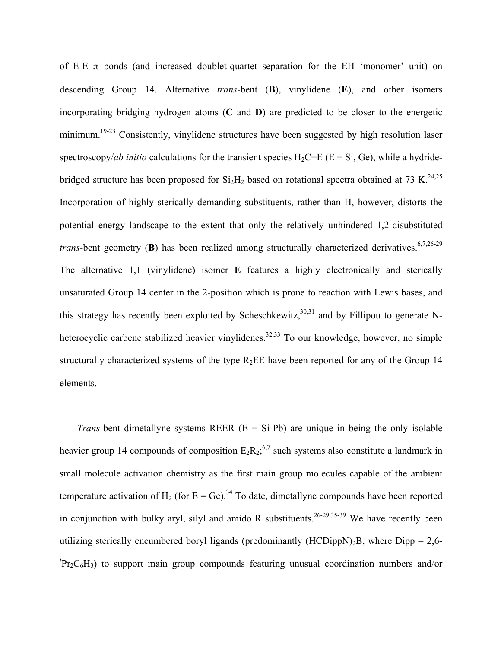of E-E  $\pi$  bonds (and increased doublet-quartet separation for the EH 'monomer' unit) on descending Group 14. Alternative *trans*-bent (**B**), vinylidene (**E**), and other isomers incorporating bridging hydrogen atoms (**C** and **D**) are predicted to be closer to the energetic minimum.<sup>19-23</sup> Consistently, vinylidene structures have been suggested by high resolution laser spectroscopy/*ab initio* calculations for the transient species  $H_2C=E$  ( $E = Si$ ,  $Ge$ ), while a hydridebridged structure has been proposed for  $Si<sub>2</sub>H<sub>2</sub>$  based on rotational spectra obtained at 73 K.<sup>24,25</sup> Incorporation of highly sterically demanding substituents, rather than H, however, distorts the potential energy landscape to the extent that only the relatively unhindered 1,2-disubstituted *trans*-bent geometry (**B**) has been realized among structurally characterized derivatives.<sup>6,7,26-29</sup> The alternative 1,1 (vinylidene) isomer **E** features a highly electronically and sterically unsaturated Group 14 center in the 2-position which is prone to reaction with Lewis bases, and this strategy has recently been exploited by Scheschkewitz,  $30,31$  and by Fillipou to generate Nheterocyclic carbene stabilized heavier vinylidenes.<sup>32,33</sup> To our knowledge, however, no simple structurally characterized systems of the type  $R_2EE$  have been reported for any of the Group 14 elements.

*Trans*-bent dimetallyne systems REER  $(E = Si-Pb)$  are unique in being the only isolable heavier group 14 compounds of composition  $E_2 R_2$ <sup>6,7</sup> such systems also constitute a landmark in small molecule activation chemistry as the first main group molecules capable of the ambient temperature activation of H<sub>2</sub> (for E = Ge).<sup>34</sup> To date, dimetallyne compounds have been reported in conjunction with bulky aryl, silyl and amido R substituents.<sup>26-29,35-39</sup> We have recently been utilizing sterically encumbered boryl ligands (predominantly  $(HCDippN)_{2}B$ , where  $Dipp = 2.6$ *i* Pr2C6H3) to support main group compounds featuring unusual coordination numbers and/or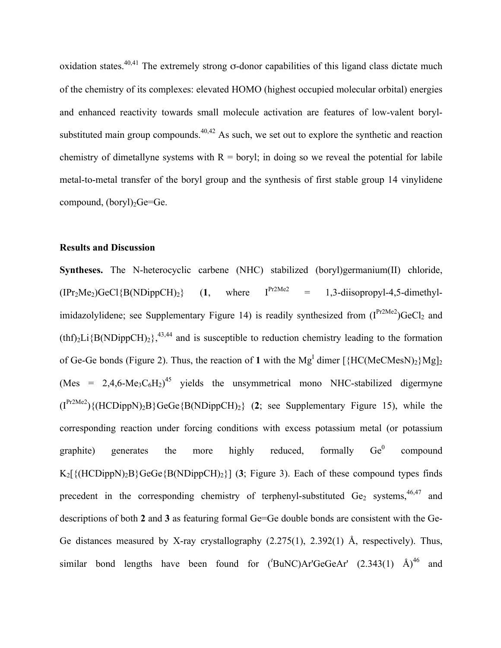oxidation states.<sup>40,41</sup> The extremely strong  $\sigma$ -donor capabilities of this ligand class dictate much of the chemistry of its complexes: elevated HOMO (highest occupied molecular orbital) energies and enhanced reactivity towards small molecule activation are features of low-valent borylsubstituted main group compounds. $40,42$  As such, we set out to explore the synthetic and reaction chemistry of dimetallyne systems with  $R =$  boryl; in doing so we reveal the potential for labile metal-to-metal transfer of the boryl group and the synthesis of first stable group 14 vinylidene compound,  $(boryl)$ <sub>2</sub>Ge=Ge.

#### **Results and Discussion**

**Syntheses.** The N-heterocyclic carbene (NHC) stabilized (boryl)germanium(II) chloride,  $(IPr<sub>2</sub>Me<sub>2</sub>)$ GeCl{B(NDippCH)<sub>2</sub>} (1, where  $I<sup>Pr2Me2</sup> = 1,3$ -diisopropyl-4,5-dimethylimidazolylidene; see Supplementary Figure 14) is readily synthesized from  $(I^{Pr2Me2})$ GeCl<sub>2</sub> and  $(thf<sub>2</sub>Li{B(NDippCH)<sub>2</sub>}<sup>43,44</sup>$  and is susceptible to reduction chemistry leading to the formation of Ge-Ge bonds (Figure 2). Thus, the reaction of 1 with the  $Mg<sup>I</sup>$  dimer [ ${H C (MeC MesN)_2} Mg<sub>I</sub>$ (Mes = 2,4,6-Me<sub>3</sub>C<sub>6</sub>H<sub>2</sub>)<sup>45</sup> yields the unsymmetrical mono NHC-stabilized digermyne  $(I^{Pr2Me2})$ {(HCDippN)<sub>2</sub>B}GeGe{B(NDippCH)<sub>2</sub>} (2; see Supplementary Figure 15), while the corresponding reaction under forcing conditions with excess potassium metal (or potassium graphite) generates the more highly reduced, formally  $Ge^0$  $Ge^0$  compound  $K_2[\{(HCDippN)_2B\}GeGe{B(NDippCH)_2}\}]$  (3; Figure 3). Each of these compound types finds precedent in the corresponding chemistry of terphenyl-substituted Ge<sub>2</sub> systems,  $46,47$  and descriptions of both **2** and **3** as featuring formal Ge=Ge double bonds are consistent with the Ge-Ge distances measured by X-ray crystallography (2.275(1), 2.392(1) Å, respectively). Thus, similar bond lengths have been found for  $(^tBuNC)Ar'GeGeAr'$   $(2.343(1)$   $\rm \AA)^{46}$  and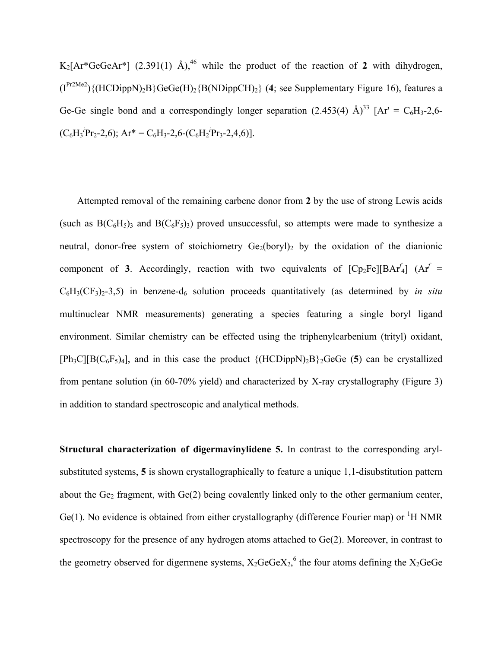$K_2[Ar^*GeGeAr^*]$  (2.391(1) Å),<sup>46</sup> while the product of the reaction of 2 with dihydrogen,  $(I^{Pr2Me2})$ {(HCDippN)<sub>2</sub>B}GeGe(H)<sub>2</sub>{B(NDippCH)<sub>2</sub>} (4; see Supplementary Figure 16), features a Ge-Ge single bond and a correspondingly longer separation  $(2.453(4)$  Å)<sup>33</sup> [Ar' = C<sub>6</sub>H<sub>3</sub>-2,6- $(C_6H_3{}^iPr_2-2,6)$ ; Ar<sup>\*</sup> =  $C_6H_3-2,6$ - $(C_6H_2{}^iPr_3-2,4,6)$ ].

 Attempted removal of the remaining carbene donor from **2** by the use of strong Lewis acids (such as  $B(C_6H_5)$ <sub>3</sub> and  $B(C_6F_5)$ <sub>3</sub>) proved unsuccessful, so attempts were made to synthesize a neutral, donor-free system of stoichiometry  $Ge_2(boryl)_2$  by the oxidation of the dianionic component of **3**. Accordingly, reaction with two equivalents of  $[Cp_2Fe][BAr^f]$  (Ar<sup>f</sup> =  $C_6H_3(CF_3)_2-3,5$ ) in benzene-d<sub>6</sub> solution proceeds quantitatively (as determined by *in situ* multinuclear NMR measurements) generating a species featuring a single boryl ligand environment. Similar chemistry can be effected using the triphenylcarbenium (trityl) oxidant,  $[Ph_3C][B(C_6F_5)_4]$ , and in this case the product  $\{(HCDippN)_2B\}_2$ GeGe (5) can be crystallized from pentane solution (in 60-70% yield) and characterized by X-ray crystallography (Figure 3) in addition to standard spectroscopic and analytical methods.

**Structural characterization of digermavinylidene 5.** In contrast to the corresponding arylsubstituted systems, **5** is shown crystallographically to feature a unique 1,1-disubstitution pattern about the  $Ge<sub>2</sub>$  fragment, with  $Ge(2)$  being covalently linked only to the other germanium center,  $Ge(1)$ . No evidence is obtained from either crystallography (difference Fourier map) or <sup>1</sup>H NMR spectroscopy for the presence of any hydrogen atoms attached to Ge(2). Moreover, in contrast to the geometry observed for digermene systems,  $X_2GeGeX_2$ , the four atoms defining the  $X_2GeGe$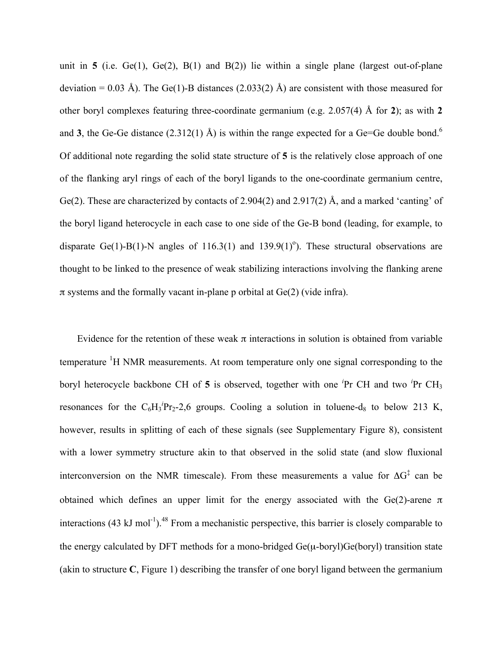unit in **5** (i.e. Ge(1), Ge(2), B(1) and B(2)) lie within a single plane (largest out-of-plane deviation = 0.03 Å). The Ge(1)-B distances (2.033(2) Å) are consistent with those measured for other boryl complexes featuring three-coordinate germanium (e.g. 2.057(4) Å for **2**); as with **2** and **3**, the Ge-Ge distance  $(2.312(1)$  Å) is within the range expected for a Ge=Ge double bond.<sup>6</sup> Of additional note regarding the solid state structure of **5** is the relatively close approach of one of the flanking aryl rings of each of the boryl ligands to the one-coordinate germanium centre, Ge(2). These are characterized by contacts of 2.904(2) and 2.917(2) Å, and a marked 'canting' of the boryl ligand heterocycle in each case to one side of the Ge-B bond (leading, for example, to disparate Ge(1)-B(1)-N angles of 116.3(1) and 139.9(1)<sup>o</sup>). These structural observations are thought to be linked to the presence of weak stabilizing interactions involving the flanking arene  $\pi$  systems and the formally vacant in-plane p orbital at Ge(2) (vide infra).

Evidence for the retention of these weak  $\pi$  interactions in solution is obtained from variable temperature  ${}^{1}H$  NMR measurements. At room temperature only one signal corresponding to the boryl heterocycle backbone CH of 5 is observed, together with one <sup>*i*</sup>Pr CH and two <sup>*i*</sup>Pr CH<sub>3</sub> resonances for the  $C_6H_3{}^iPr_2-2,6$  groups. Cooling a solution in toluene-d<sub>8</sub> to below 213 K, however, results in splitting of each of these signals (see Supplementary Figure 8), consistent with a lower symmetry structure akin to that observed in the solid state (and slow fluxional interconversion on the NMR timescale). From these measurements a value for  $\Delta G^{\ddagger}$  can be obtained which defines an upper limit for the energy associated with the Ge(2)-arene π interactions (43 kJ mol<sup>-1</sup>).<sup>48</sup> From a mechanistic perspective, this barrier is closely comparable to the energy calculated by DFT methods for a mono-bridged  $Ge(\mu$ -boryl) $Ge(boryl)$  transition state (akin to structure **C**, Figure 1) describing the transfer of one boryl ligand between the germanium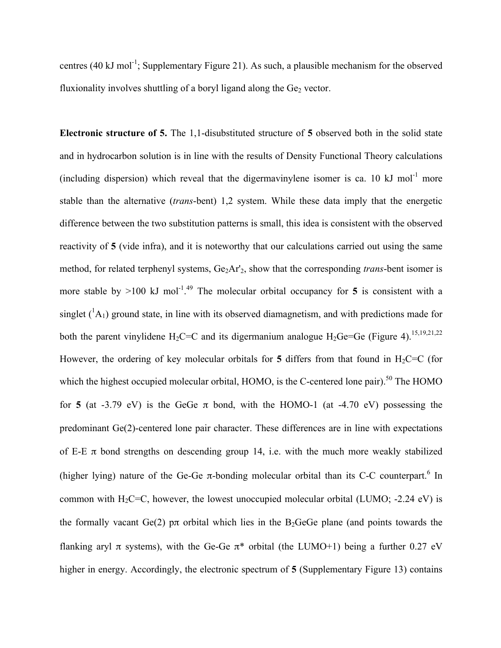centres (40 kJ mol<sup>-1</sup>; Supplementary Figure 21). As such, a plausible mechanism for the observed fluxionality involves shuttling of a boryl ligand along the  $Ge<sub>2</sub>$  vector.

**Electronic structure of 5.** The 1,1-disubstituted structure of **5** observed both in the solid state and in hydrocarbon solution is in line with the results of Density Functional Theory calculations (including dispersion) which reveal that the digermavinylene isomer is ca. 10 kJ mol<sup>-1</sup> more stable than the alternative (*trans*-bent) 1,2 system. While these data imply that the energetic difference between the two substitution patterns is small, this idea is consistent with the observed reactivity of **5** (vide infra), and it is noteworthy that our calculations carried out using the same method, for related terphenyl systems, Ge<sub>2</sub>Ar'<sub>2</sub>, show that the corresponding *trans*-bent isomer is more stable by  $>100$  kJ mol<sup>-1,49</sup> The molecular orbital occupancy for 5 is consistent with a singlet  $({}^{1}A_{1})$  ground state, in line with its observed diamagnetism, and with predictions made for both the parent vinylidene  $H_2C=C$  and its digermanium analogue  $H_2Ge=Ge$  (Figure 4).<sup>15,19,21,22</sup> However, the ordering of key molecular orbitals for 5 differs from that found in  $H_2C=C$  (for which the highest occupied molecular orbital, HOMO, is the C-centered lone pair).<sup>50</sup> The HOMO for **5** (at -3.79 eV) is the GeGe  $\pi$  bond, with the HOMO-1 (at -4.70 eV) possessing the predominant Ge(2)-centered lone pair character. These differences are in line with expectations of E-E  $\pi$  bond strengths on descending group 14, i.e. with the much more weakly stabilized (higher lying) nature of the Ge-Ge  $\pi$ -bonding molecular orbital than its C-C counterpart.<sup>6</sup> In common with  $H_2C=C$ , however, the lowest unoccupied molecular orbital (LUMO; -2.24 eV) is the formally vacant  $Ge(2)$  p $\pi$  orbital which lies in the B<sub>2</sub>GeGe plane (and points towards the flanking aryl  $\pi$  systems), with the Ge-Ge  $\pi^*$  orbital (the LUMO+1) being a further 0.27 eV higher in energy. Accordingly, the electronic spectrum of **5** (Supplementary Figure 13) contains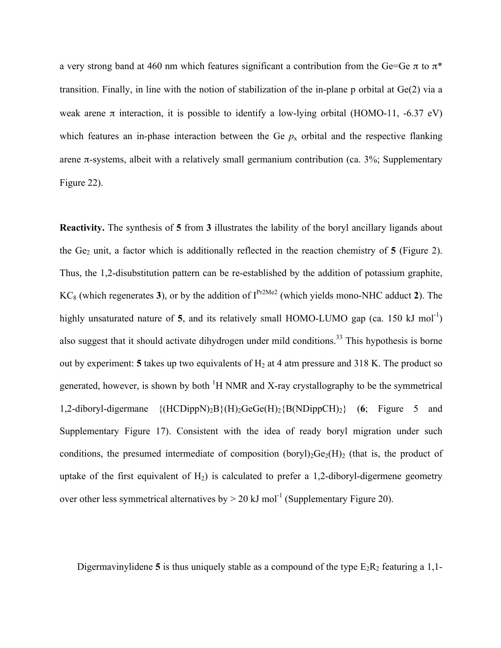a very strong band at 460 nm which features significant a contribution from the Ge=Ge  $\pi$  to  $\pi^*$ transition. Finally, in line with the notion of stabilization of the in-plane p orbital at Ge(2) via a weak arene  $\pi$  interaction, it is possible to identify a low-lying orbital (HOMO-11, -6.37 eV) which features an in-phase interaction between the Ge  $p<sub>x</sub>$  orbital and the respective flanking arene π-systems, albeit with a relatively small germanium contribution (ca.  $3\%$ ; Supplementary Figure 22).

**Reactivity.** The synthesis of **5** from **3** illustrates the lability of the boryl ancillary ligands about the  $Ge_2$  unit, a factor which is additionally reflected in the reaction chemistry of 5 (Figure 2). Thus, the 1,2-disubstitution pattern can be re-established by the addition of potassium graphite,  $KC_8$  (which regenerates 3), or by the addition of  $I^{Pr2Me2}$  (which yields mono-NHC adduct 2). The highly unsaturated nature of 5, and its relatively small HOMO-LUMO gap (ca. 150 kJ mol<sup>-1</sup>) also suggest that it should activate dihydrogen under mild conditions.<sup>33</sup> This hypothesis is borne out by experiment: **5** takes up two equivalents of  $H_2$  at 4 atm pressure and 318 K. The product so generated, however, is shown by both  ${}^{1}H$  NMR and X-ray crystallography to be the symmetrical 1,2-diboryl-digermane {(HCDippN)2B}(H)2GeGe(H)2{B(NDippCH)2} (**6**; Figure 5 and Supplementary Figure 17). Consistent with the idea of ready boryl migration under such conditions, the presumed intermediate of composition (boryl)<sub>2</sub>Ge<sub>2</sub>(H)<sub>2</sub> (that is, the product of uptake of the first equivalent of  $H_2$ ) is calculated to prefer a 1,2-diboryl-digermene geometry over other less symmetrical alternatives by  $> 20 \text{ kJ}$  mol<sup>-1</sup> (Supplementary Figure 20).

Digermavinylidene 5 is thus uniquely stable as a compound of the type  $E_2R_2$  featuring a 1,1-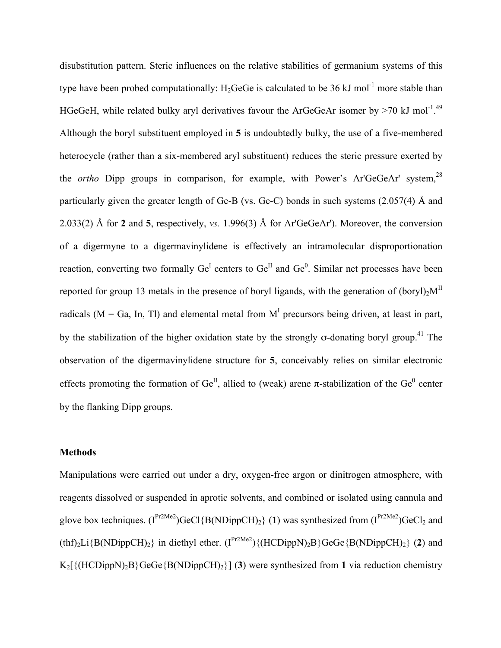disubstitution pattern. Steric influences on the relative stabilities of germanium systems of this type have been probed computationally:  $H_2$ GeGe is calculated to be 36 kJ mol<sup>-1</sup> more stable than HGeGeH, while related bulky aryl derivatives favour the ArGeGeAr isomer by  $>70$  kJ mol<sup>-1.49</sup> Although the boryl substituent employed in **5** is undoubtedly bulky, the use of a five-membered heterocycle (rather than a six-membered aryl substituent) reduces the steric pressure exerted by the *ortho* Dipp groups in comparison, for example, with Power's Ar'GeGeAr' system,<sup>28</sup> particularly given the greater length of Ge-B (vs. Ge-C) bonds in such systems (2.057(4) Å and 2.033(2) Å for **2** and **5**, respectively, *vs.* 1.996(3) Å for Ar'GeGeAr'). Moreover, the conversion of a digermyne to a digermavinylidene is effectively an intramolecular disproportionation reaction, converting two formally  $Ge^{I}$  centers to  $Ge^{II}$  and  $Ge^{0}$ . Similar net processes have been reported for group 13 metals in the presence of boryl ligands, with the generation of  $(boryl)<sub>2</sub>M<sup>II</sup>$ radicals ( $M = Ga$ , In, Tl) and elemental metal from  $M<sup>I</sup>$  precursors being driven, at least in part, by the stabilization of the higher oxidation state by the strongly  $\sigma$ -donating boryl group.<sup>41</sup> The observation of the digermavinylidene structure for **5**, conceivably relies on similar electronic effects promoting the formation of  $Ge^{II}$ , allied to (weak) arene  $\pi$ -stabilization of the  $Ge^{0}$  center by the flanking Dipp groups.

#### **Methods**

Manipulations were carried out under a dry, oxygen-free argon or dinitrogen atmosphere, with reagents dissolved or suspended in aprotic solvents, and combined or isolated using cannula and glove box techniques.  $(I^{Pr2Me2})$ GeCl{B(NDippCH)<sub>2</sub>} (1) was synthesized from  $(I^{Pr2Me2})$ GeCl<sub>2</sub> and  $(thf<sub>2</sub>Li{B(NDippCH)<sub>2</sub>}$  in diethyl ether.  $(I<sup>Pr2Me2</sup>) {(HCDippN)<sub>2</sub>B}{GeGe{B(NDippCH)<sub>2</sub>}}$  (2) and  $K_2$ [ $\{ (HCDippN)_2B \}$ GeGe $\{ B(NDippCH)_2 \}$ ] (3) were synthesized from 1 via reduction chemistry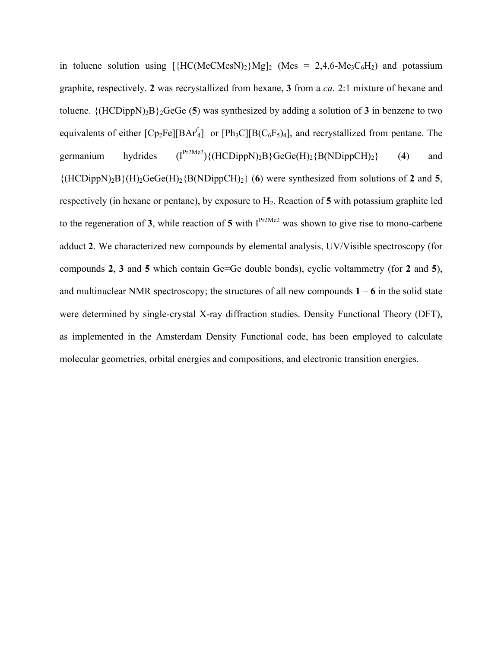in toluene solution using  $[\{HC(MeCMesN)_2\}Mg]_2$  (Mes = 2,4,6-Me<sub>3</sub>C<sub>6</sub>H<sub>2</sub>) and potassium graphite, respectively. **2** was recrystallized from hexane, **3** from a *ca.* 2:1 mixture of hexane and toluene.  $\{(\text{HCDippN})_2B\}_2$ GeGe (5) was synthesized by adding a solution of 3 in benzene to two equivalents of either  $[Cp_2Fe][BAr_4]$  or  $[Ph_3C][B(C_6F_5)_4]$ , and recrystallized from pentane. The germanium hydrides  $(I^{Pr2Me2})\{(HCDippN)_2B\}GeGe(H)_2\{B(NDippCH)_2\}$  (4) and  $\{(HCDippN)_2B\}(H)_2GeGe(H)_2\{B(NDippCH)_2\}$  (6) were synthesized from solutions of 2 and 5, respectively (in hexane or pentane), by exposure to H2. Reaction of **5** with potassium graphite led to the regeneration of **3**, while reaction of **5** with  $I^{Pr2Me2}$  was shown to give rise to mono-carbene adduct **2**. We characterized new compounds by elemental analysis, UV/Visible spectroscopy (for compounds **2**, **3** and **5** which contain Ge=Ge double bonds), cyclic voltammetry (for **2** and **5**), and multinuclear NMR spectroscopy; the structures of all new compounds  $1 - 6$  in the solid state were determined by single-crystal X-ray diffraction studies. Density Functional Theory (DFT), as implemented in the Amsterdam Density Functional code, has been employed to calculate molecular geometries, orbital energies and compositions, and electronic transition energies.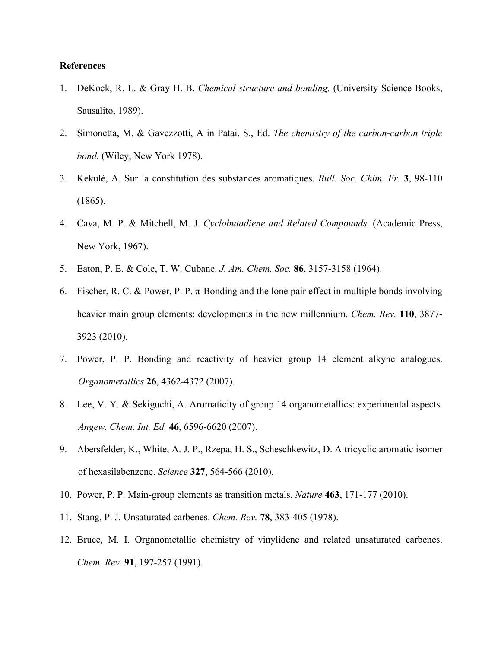#### **References**

- 1. DeKock, R. L. & Gray H. B. *Chemical structure and bonding.* (University Science Books, Sausalito, 1989).
- 2. Simonetta, M. & Gavezzotti, A in Patai, S., Ed. *The chemistry of the carbon-carbon triple bond.* (Wiley, New York 1978).
- 3. Kekulé, A. Sur la constitution des substances aromatiques. *Bull. Soc. Chim. Fr.* **3**, 98-110 (1865).
- 4. Cava, M. P. & Mitchell, M. J. *Cyclobutadiene and Related Compounds.* (Academic Press, New York, 1967).
- 5. Eaton, P. E. & Cole, T. W. Cubane. *J. Am. Chem. Soc.* **86**, 3157-3158 (1964).
- 6. Fischer, R. C. & Power, P. P.  $\pi$ -Bonding and the lone pair effect in multiple bonds involving heavier main group elements: developments in the new millennium. *Chem. Rev.* **110**, 3877- 3923 (2010).
- 7. Power, P. P. Bonding and reactivity of heavier group 14 element alkyne analogues. *Organometallics* **26**, 4362-4372 (2007).
- 8. Lee, V. Y. & Sekiguchi, A. Aromaticity of group 14 organometallics: experimental aspects. *Angew. Chem. Int. Ed.* **46**, 6596-6620 (2007).
- 9. Abersfelder, K., White, A. J. P., Rzepa, H. S., Scheschkewitz, D. A tricyclic aromatic isomer of hexasilabenzene. *Science* **327**, 564-566 (2010).
- 10. Power, P. P. Main-group elements as transition metals. *Nature* **463**, 171-177 (2010).
- 11. Stang, P. J. Unsaturated carbenes. *Chem. Rev.* **78**, 383-405 (1978).
- 12. Bruce, M. I. Organometallic chemistry of vinylidene and related unsaturated carbenes. *Chem. Rev.* **91**, 197-257 (1991).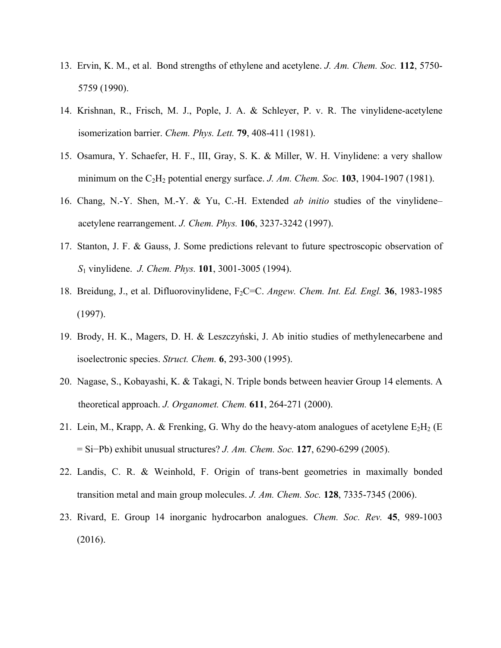- 13. Ervin, K. M., et al. Bond strengths of ethylene and acetylene. *J. Am. Chem. Soc.* **112**, 5750- 5759 (1990).
- 14. Krishnan, R., Frisch, M. J., Pople, J. A. & Schleyer, P. v. R. The vinylidene-acetylene isomerization barrier. *Chem. Phys. Lett.* **79**, 408-411 (1981).
- 15. Osamura, Y. Schaefer, H. F., III, Gray, S. K. & Miller, W. H. Vinylidene: a very shallow minimum on the  $C_2H_2$  potential energy surface. *J. Am. Chem. Soc.* **103**, 1904-1907 (1981).
- 16. Chang, N.-Y. Shen, M.-Y. & Yu, C.-H. Extended *ab initio* studies of the vinylidene– acetylene rearrangement. *J. Chem. Phys.* **106**, 3237-3242 (1997).
- 17. Stanton, J. F. & Gauss, J. Some predictions relevant to future spectroscopic observation of *S*1 vinylidene. *J. Chem. Phys.* **101**, 3001-3005 (1994).
- 18. Breidung, J., et al. Difluorovinylidene, F2C=C. *Angew. Chem. Int. Ed. Engl.* **36**, 1983-1985 (1997).
- 19. Brody, H. K., Magers, D. H. & Leszczyński, J. Ab initio studies of methylenecarbene and isoelectronic species. *Struct. Chem.* **6**, 293-300 (1995).
- 20. Nagase, S., Kobayashi, K. & Takagi, N. Triple bonds between heavier Group 14 elements. A theoretical approach. *J. Organomet. Chem.* **611**, 264-271 (2000).
- 21. Lein, M., Krapp, A. & Frenking, G. Why do the heavy-atom analogues of acetylene  $E_2H_2$  (E = Si−Pb) exhibit unusual structures? *J. Am. Chem. Soc.* **127**, 6290-6299 (2005).
- 22. Landis, C. R. & Weinhold, F. Origin of trans-bent geometries in maximally bonded transition metal and main group molecules. *J. Am. Chem. Soc.* **128**, 7335-7345 (2006).
- 23. Rivard, E. Group 14 inorganic hydrocarbon analogues. *Chem. Soc. Rev.* **45**, 989-1003 (2016).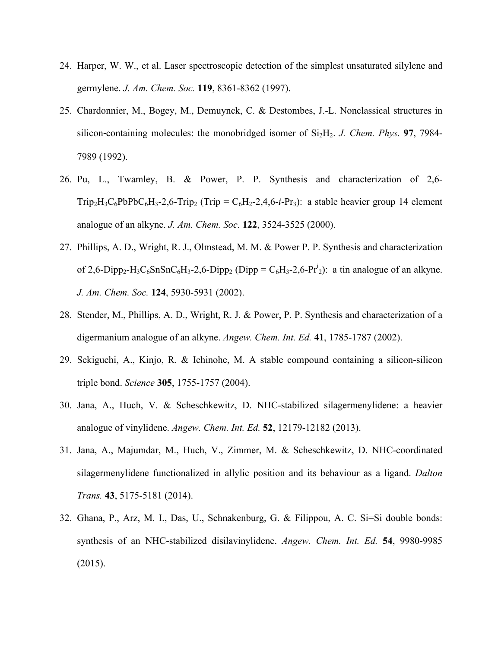- 24. Harper, W. W., et al. Laser spectroscopic detection of the simplest unsaturated silylene and germylene. *J. Am. Chem. Soc.* **119**, 8361-8362 (1997).
- 25. Chardonnier, M., Bogey, M., Demuynck, C. & Destombes, J.-L. Nonclassical structures in silicon-containing molecules: the monobridged isomer of  $Si<sub>2</sub>H<sub>2</sub>$ . *J. Chem. Phys.* **97**, 7984-7989 (1992).
- 26. Pu, L., Twamley, B. & Power, P. P. Synthesis and characterization of 2,6-  $Trip<sub>2</sub>H<sub>3</sub>C<sub>6</sub>PbPbC<sub>6</sub>H<sub>3</sub> - 2,6-Trip<sub>2</sub> (Trip = C<sub>6</sub>H<sub>2</sub> - 2,4,6-i-Pr<sub>3</sub>)$ : a stable heavier group 14 element analogue of an alkyne. *J. Am. Chem. Soc.* **122**, 3524-3525 (2000).
- 27. Phillips, A. D., Wright, R. J., Olmstead, M. M. & Power P. P. Synthesis and characterization of 2,6-Dipp<sub>2</sub>-H<sub>3</sub>C<sub>6</sub>SnSnC<sub>6</sub>H<sub>3</sub>-2,6-Dipp<sub>2</sub> (Dipp = C<sub>6</sub>H<sub>3</sub>-2,6-Pr<sup>i</sup><sub>2</sub>): a tin analogue of an alkyne. *J. Am. Chem. Soc.* **124**, 5930-5931 (2002).
- 28. Stender, M., Phillips, A. D., Wright, R. J. & Power, P. P. Synthesis and characterization of a digermanium analogue of an alkyne. *Angew. Chem. Int. Ed.* **41**, 1785-1787 (2002).
- 29. Sekiguchi, A., Kinjo, R. & Ichinohe, M. A stable compound containing a silicon-silicon triple bond. *Science* **305**, 1755-1757 (2004).
- 30. Jana, A., Huch, V. & Scheschkewitz, D. NHC-stabilized silagermenylidene: a heavier analogue of vinylidene. *Angew. Chem. Int. Ed.* **52**, 12179-12182 (2013).
- 31. Jana, A., Majumdar, M., Huch, V., Zimmer, M. & Scheschkewitz, D. NHC-coordinated silagermenylidene functionalized in allylic position and its behaviour as a ligand. *Dalton Trans.* **43**, 5175-5181 (2014).
- 32. Ghana, P., Arz, M. I., Das, U., Schnakenburg, G. & Filippou, A. C. Si=Si double bonds: synthesis of an NHC-stabilized disilavinylidene. *Angew. Chem. Int. Ed.* **54**, 9980-9985 (2015).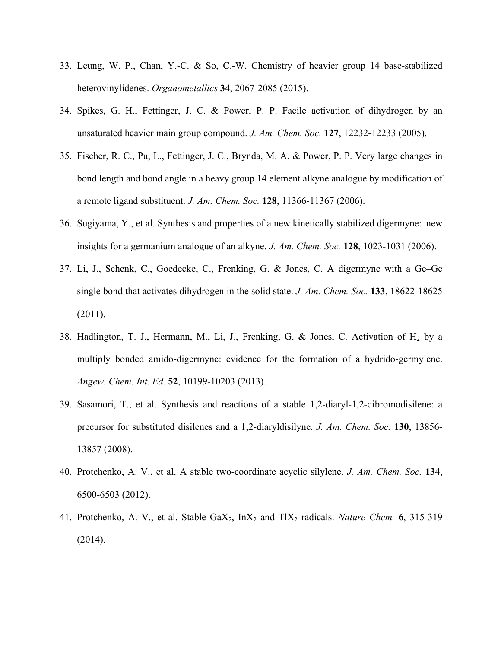- 33. Leung, W. P., Chan, Y.-C. & So, C.-W. Chemistry of heavier group 14 base-stabilized heterovinylidenes. *Organometallics* **34**, 2067-2085 (2015).
- 34. Spikes, G. H., Fettinger, J. C. & Power, P. P. Facile activation of dihydrogen by an unsaturated heavier main group compound. *J. Am. Chem. Soc.* **127**, 12232-12233 (2005).
- 35. Fischer, R. C., Pu, L., Fettinger, J. C., Brynda, M. A. & Power, P. P. Very large changes in bond length and bond angle in a heavy group 14 element alkyne analogue by modification of a remote ligand substituent. *J. Am. Chem. Soc.* **128**, 11366-11367 (2006).
- 36. Sugiyama, Y., et al. Synthesis and properties of a new kinetically stabilized digermyne: new insights for a germanium analogue of an alkyne. *J. Am. Chem. Soc.* **128**, 1023-1031 (2006).
- 37. Li, J., Schenk, C., Goedecke, C., Frenking, G. & Jones, C. A digermyne with a Ge–Ge single bond that activates dihydrogen in the solid state. *J. Am. Chem. Soc.* **133**, 18622-18625 (2011).
- 38. Hadlington, T. J., Hermann, M., Li, J., Frenking, G. & Jones, C. Activation of  $H_2$  by a multiply bonded amido-digermyne: evidence for the formation of a hydrido-germylene. *Angew. Chem. Int. Ed.* **52**, 10199-10203 (2013).
- 39. Sasamori, T., et al. Synthesis and reactions of a stable 1,2-diaryl-1,2-dibromodisilene: a precursor for substituted disilenes and a 1,2-diaryldisilyne. *J. Am. Chem. Soc.* **130**, 13856- 13857 (2008).
- 40. Protchenko, A. V., et al. A stable two-coordinate acyclic silylene. *J. Am. Chem. Soc.* **134**, 6500-6503 (2012).
- 41. Protchenko, A. V., et al. Stable GaX2, InX2 and TlX2 radicals. *Nature Chem.* **6**, 315-319 (2014).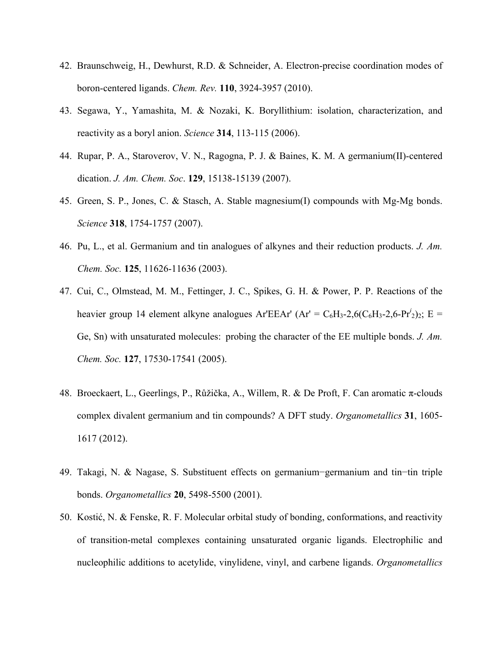- 42. Braunschweig, H., Dewhurst, R.D. & Schneider, A. Electron-precise coordination modes of boron-centered ligands. *Chem. Rev.* **110**, 3924-3957 (2010).
- 43. Segawa, Y., Yamashita, M. & Nozaki, K. Boryllithium: isolation, characterization, and reactivity as a boryl anion. *Science* **314**, 113-115 (2006).
- 44. Rupar, P. A., Staroverov, V. N., Ragogna, P. J. & Baines, K. M. A germanium(II)-centered dication. *J. Am. Chem. Soc*. **129**, 15138-15139 (2007).
- 45. Green, S. P., Jones, C. & Stasch, A. Stable magnesium(I) compounds with Mg-Mg bonds. *Science* **318**, 1754-1757 (2007).
- 46. Pu, L., et al. Germanium and tin analogues of alkynes and their reduction products. *J. Am. Chem. Soc.* **125**, 11626-11636 (2003).
- 47. Cui, C., Olmstead, M. M., Fettinger, J. C., Spikes, G. H. & Power, P. P. Reactions of the heavier group 14 element alkyne analogues Ar'EEAr' (Ar' =  $C_6H_3$ -2,6( $C_6H_3$ -2,6-Pr<sup>*i*</sup><sub>2</sub>)<sub>2</sub>; E = Ge, Sn) with unsaturated molecules: probing the character of the EE multiple bonds. *J. Am. Chem. Soc.* **127**, 17530-17541 (2005).
- 48. Broeckaert, L., Geerlings, P., Růžička, A., Willem, R. & De Proft, F. Can aromatic π-clouds complex divalent germanium and tin compounds? A DFT study. *Organometallics* **31**, 1605- 1617 (2012).
- 49. Takagi, N. & Nagase, S. Substituent effects on germanium−germanium and tin−tin triple bonds. *Organometallics* **20**, 5498-5500 (2001).
- 50. Kostić, N. & Fenske, R. F. Molecular orbital study of bonding, conformations, and reactivity of transition-metal complexes containing unsaturated organic ligands. Electrophilic and nucleophilic additions to acetylide, vinylidene, vinyl, and carbene ligands. *Organometallics*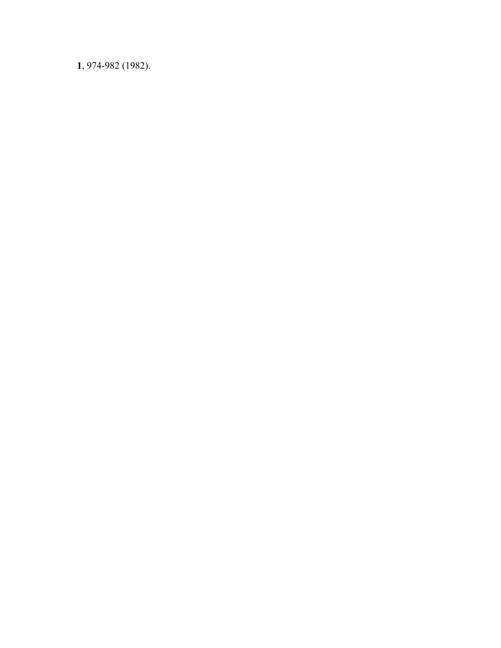, 974-982 (1982).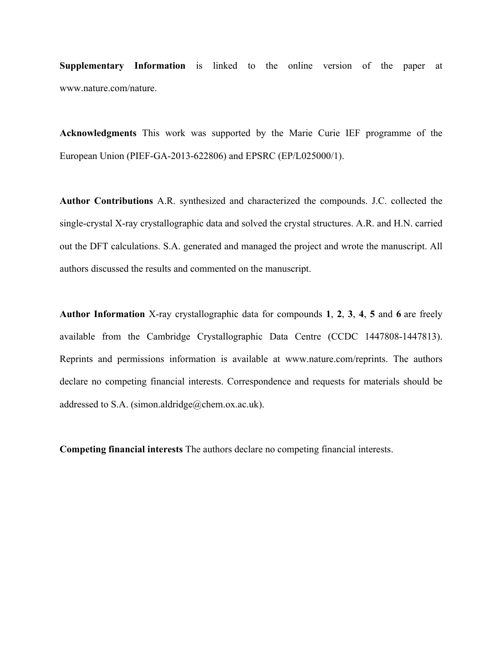**Supplementary Information** is linked to the online version of the paper at www.nature.com/nature.

**Acknowledgments** This work was supported by the Marie Curie IEF programme of the European Union (PIEF-GA-2013-622806) and EPSRC (EP/L025000/1).

**Author Contributions** A.R. synthesized and characterized the compounds. J.C. collected the single-crystal X-ray crystallographic data and solved the crystal structures. A.R. and H.N. carried out the DFT calculations. S.A. generated and managed the project and wrote the manuscript. All authors discussed the results and commented on the manuscript.

**Author Information** X-ray crystallographic data for compounds **1**, **2**, **3**, **4**, **5** and **6** are freely available from the Cambridge Crystallographic Data Centre (CCDC 1447808-1447813). Reprints and permissions information is available at www.nature.com/reprints. The authors declare no competing financial interests. Correspondence and requests for materials should be addressed to S.A. (simon.aldridge@chem.ox.ac.uk).

**Competing financial interests** The authors declare no competing financial interests.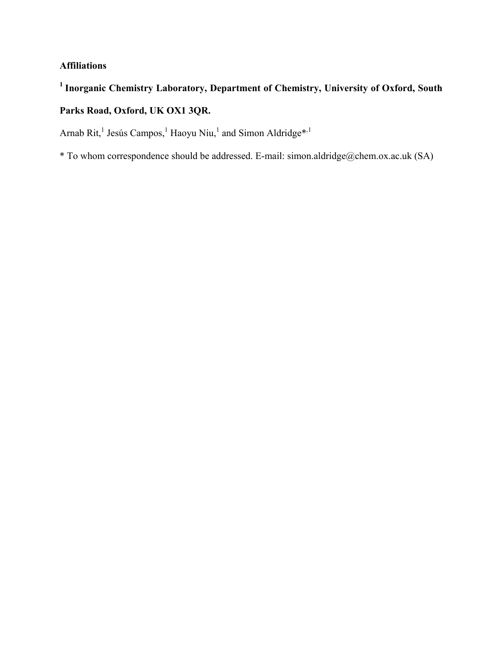### **Affiliations**

# **<sup>1</sup>Inorganic Chemistry Laboratory, Department of Chemistry, University of Oxford, South**

## **Parks Road, Oxford, UK OX1 3QR.**

Arnab Rit,<sup>1</sup> Jesús Campos,<sup>1</sup> Haoyu Niu,<sup>1</sup> and Simon Aldridge\*<sup>,1</sup>

\* To whom correspondence should be addressed. E-mail: simon.aldridge@chem.ox.ac.uk (SA)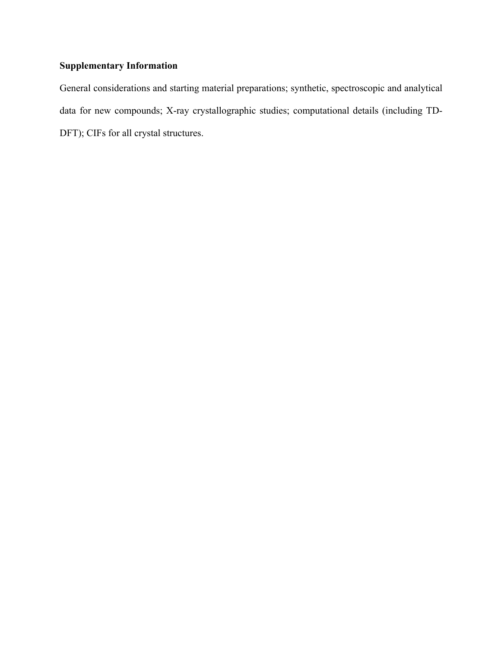## **Supplementary Information**

General considerations and starting material preparations; synthetic, spectroscopic and analytical data for new compounds; X-ray crystallographic studies; computational details (including TD-DFT); CIFs for all crystal structures.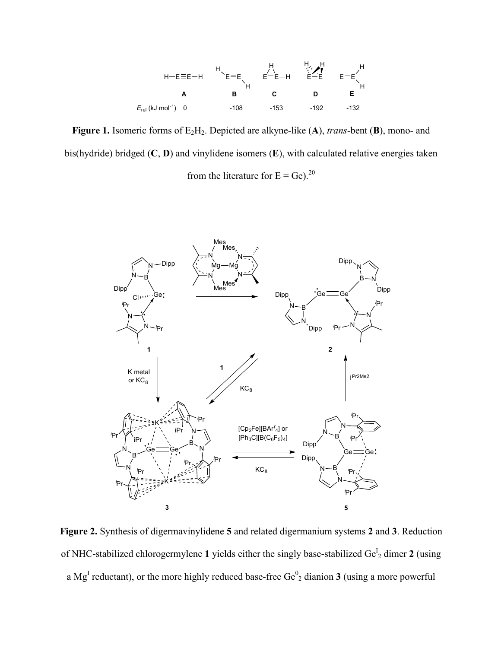

**Figure 1.** Isomeric forms of E2H2. Depicted are alkyne-like (**A**), *trans*-bent (**B**), mono- and bis(hydride) bridged (**C**, **D**) and vinylidene isomers (**E**), with calculated relative energies taken from the literature for  $E = Ge$ ).<sup>20</sup>



**Figure 2.** Synthesis of digermavinylidene **5** and related digermanium systems **2** and **3**. Reduction of NHC-stabilized chlorogermylene 1 yields either the singly base-stabilized Ge<sup>I</sup><sub>2</sub> dimer 2 (using a Mg<sup>I</sup> reductant), or the more highly reduced base-free  $Ge^0$ <sub>2</sub> dianion **3** (using a more powerful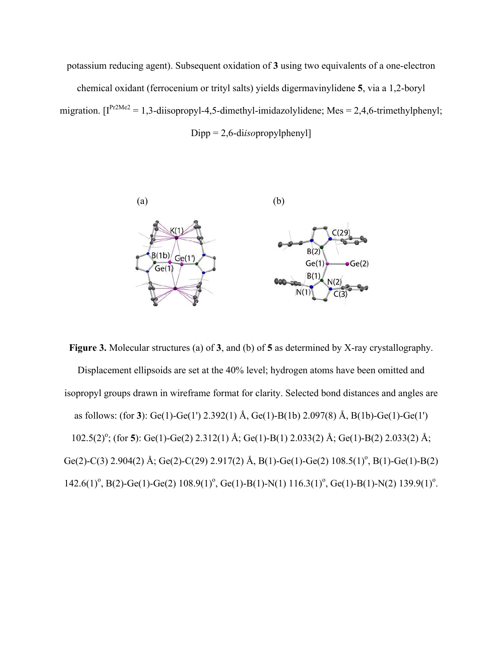potassium reducing agent). Subsequent oxidation of **3** using two equivalents of a one-electron chemical oxidant (ferrocenium or trityl salts) yields digermavinylidene **5**, via a 1,2-boryl migration.  $[I^{Pr2Me2} = 1,3$ -diisopropyl-4,5-dimethyl-imidazolylidene; Mes = 2,4,6-trimethylphenyl; Dipp = 2,6-di*iso*propylphenyl]



**Figure 3.** Molecular structures (a) of **3**, and (b) of **5** as determined by X-ray crystallography. Displacement ellipsoids are set at the 40% level; hydrogen atoms have been omitted and isopropyl groups drawn in wireframe format for clarity. Selected bond distances and angles are as follows: (for **3**): Ge(1)-Ge(1') 2.392(1) Å, Ge(1)-B(1b) 2.097(8) Å, B(1b)-Ge(1)-Ge(1') 102.5(2)<sup>o</sup>; (for 5): Ge(1)-Ge(2) 2.312(1) Å; Ge(1)-B(1) 2.033(2) Å; Ge(1)-B(2) 2.033(2) Å; Ge(2)-C(3) 2.904(2) Å; Ge(2)-C(29) 2.917(2) Å, B(1)-Ge(1)-Ge(2)  $108.5(1)$ <sup>o</sup>, B(1)-Ge(1)-B(2)  $142.6(1)$ <sup>o</sup>, B(2)-Ge(1)-Ge(2)  $108.9(1)$ <sup>o</sup>, Ge(1)-B(1)-N(1)  $116.3(1)$ <sup>o</sup>, Ge(1)-B(1)-N(2)  $139.9(1)$ <sup>o</sup>.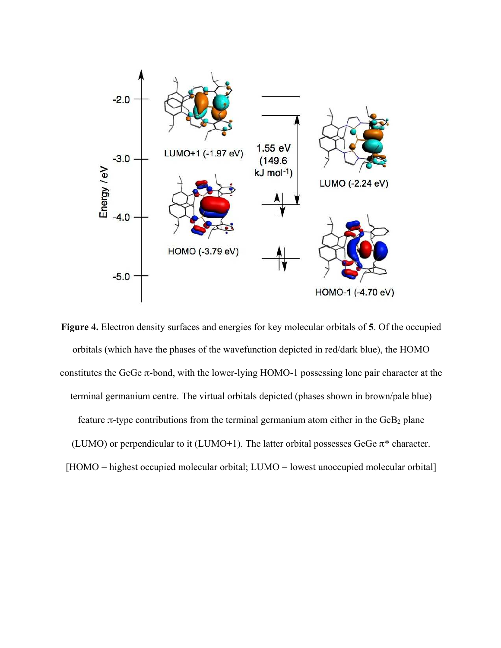

**Figure 4.** Electron density surfaces and energies for key molecular orbitals of **5**. Of the occupied orbitals (which have the phases of the wavefunction depicted in red/dark blue), the HOMO constitutes the GeGe  $\pi$ -bond, with the lower-lying HOMO-1 possessing lone pair character at the terminal germanium centre. The virtual orbitals depicted (phases shown in brown/pale blue) feature π-type contributions from the terminal germanium atom either in the  $GeB<sub>2</sub>$  plane (LUMO) or perpendicular to it (LUMO+1). The latter orbital possesses GeGe  $\pi^*$  character. [HOMO = highest occupied molecular orbital; LUMO = lowest unoccupied molecular orbital]